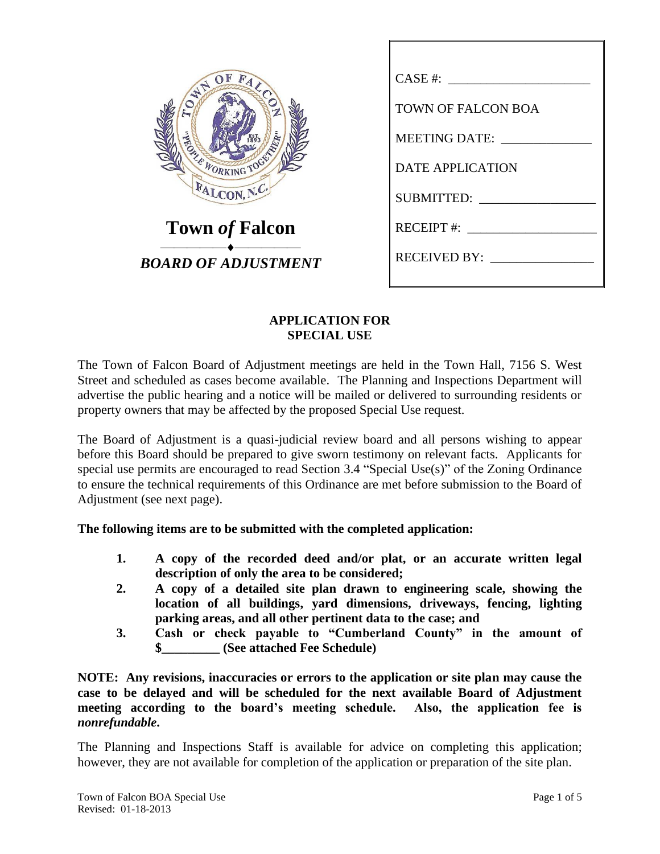| OF<br>FALCOL<br>WH<br><b>CONTRACTORS</b><br>FALCON, N.C. |
|----------------------------------------------------------|
| <b>Town of Falcon</b><br><b>BOARD OF ADJUSTMENT</b>      |

| CASE #:                       |
|-------------------------------|
| TOWN OF FALCON BOA            |
| MEETING DATE: _______________ |
| DATE APPLICATION              |
|                               |
| RECEIPT #: $\frac{1}{2}$      |
| RECEIVED BY:                  |
|                               |

### **APPLICATION FOR SPECIAL USE**

The Town of Falcon Board of Adjustment meetings are held in the Town Hall, 7156 S. West Street and scheduled as cases become available. The Planning and Inspections Department will advertise the public hearing and a notice will be mailed or delivered to surrounding residents or property owners that may be affected by the proposed Special Use request.

The Board of Adjustment is a quasi-judicial review board and all persons wishing to appear before this Board should be prepared to give sworn testimony on relevant facts. Applicants for special use permits are encouraged to read Section 3.4 "Special Use(s)" of the Zoning Ordinance to ensure the technical requirements of this Ordinance are met before submission to the Board of Adjustment (see next page).

### **The following items are to be submitted with the completed application:**

- **1. A copy of the recorded deed and/or plat, or an accurate written legal description of only the area to be considered;**
- **2. A copy of a detailed site plan drawn to engineering scale, showing the location of all buildings, yard dimensions, driveways, fencing, lighting parking areas, and all other pertinent data to the case; and**
- **3. Cash or check payable to "Cumberland County" in the amount of \$\_\_\_\_\_\_\_\_\_ (See attached Fee Schedule)**

**NOTE: Any revisions, inaccuracies or errors to the application or site plan may cause the case to be delayed and will be scheduled for the next available Board of Adjustment meeting according to the board's meeting schedule. Also, the application fee is**  *nonrefundable***.**

The Planning and Inspections Staff is available for advice on completing this application; however, they are not available for completion of the application or preparation of the site plan.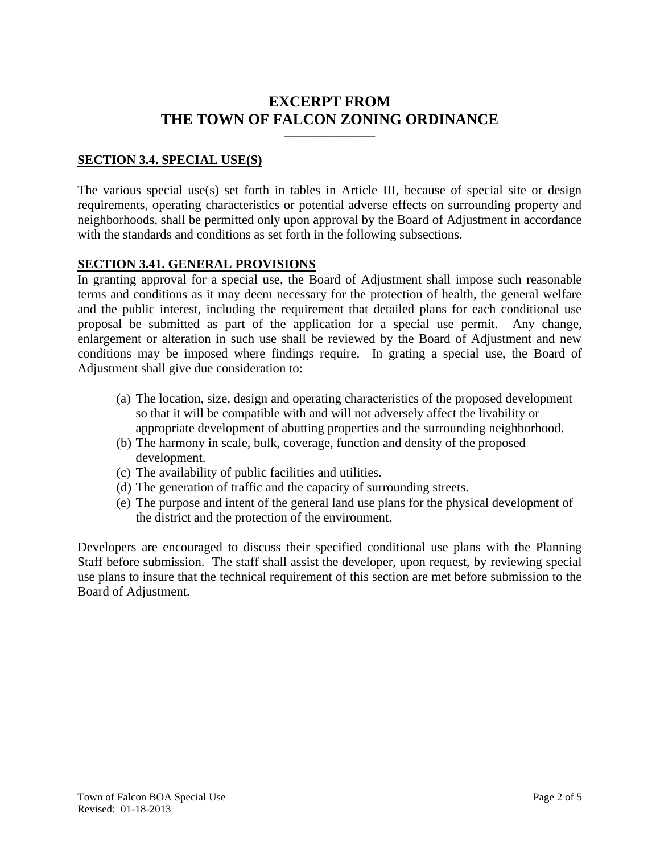# **EXCERPT FROM THE TOWN OF FALCON ZONING ORDINANCE**

**\_\_\_\_\_\_\_\_\_\_\_\_\_\_\_\_\_\_\_**

#### **SECTION 3.4. SPECIAL USE(S)**

The various special use(s) set forth in tables in Article III, because of special site or design requirements, operating characteristics or potential adverse effects on surrounding property and neighborhoods, shall be permitted only upon approval by the Board of Adjustment in accordance with the standards and conditions as set forth in the following subsections.

#### **SECTION 3.41. GENERAL PROVISIONS**

In granting approval for a special use, the Board of Adjustment shall impose such reasonable terms and conditions as it may deem necessary for the protection of health, the general welfare and the public interest, including the requirement that detailed plans for each conditional use proposal be submitted as part of the application for a special use permit. Any change, enlargement or alteration in such use shall be reviewed by the Board of Adjustment and new conditions may be imposed where findings require. In grating a special use, the Board of Adjustment shall give due consideration to:

- (a) The location, size, design and operating characteristics of the proposed development so that it will be compatible with and will not adversely affect the livability or appropriate development of abutting properties and the surrounding neighborhood.
- (b) The harmony in scale, bulk, coverage, function and density of the proposed development.
- (c) The availability of public facilities and utilities.
- (d) The generation of traffic and the capacity of surrounding streets.
- (e) The purpose and intent of the general land use plans for the physical development of the district and the protection of the environment.

Developers are encouraged to discuss their specified conditional use plans with the Planning Staff before submission. The staff shall assist the developer, upon request, by reviewing special use plans to insure that the technical requirement of this section are met before submission to the Board of Adjustment.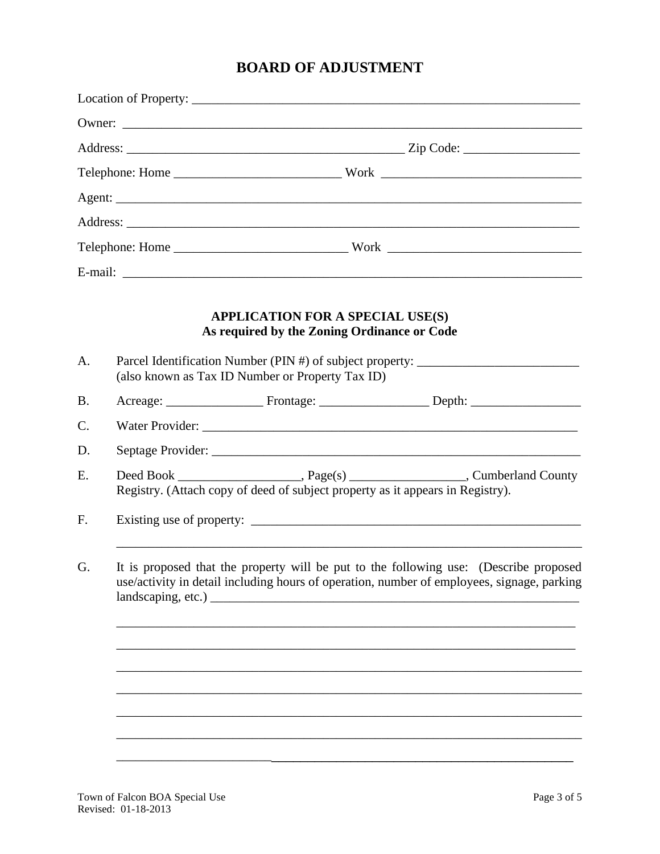# **BOARD OF ADJUSTMENT**

|           | <b>APPLICATION FOR A SPECIAL USE(S)</b><br>As required by the Zoning Ordinance or Code                                                                                                                                         |
|-----------|--------------------------------------------------------------------------------------------------------------------------------------------------------------------------------------------------------------------------------|
| A.        | Parcel Identification Number (PIN #) of subject property: ______________________<br>(also known as Tax ID Number or Property Tax ID)                                                                                           |
| <b>B.</b> |                                                                                                                                                                                                                                |
| C.        | Water Provider: National Account of the Contract of the Contract of the Contract of the Contract of the Contract of the Contract of the Contract of the Contract of the Contract of the Contract of the Contract of the Contra |
| D.        |                                                                                                                                                                                                                                |
| E.        | Registry. (Attach copy of deed of subject property as it appears in Registry).                                                                                                                                                 |
| F.        |                                                                                                                                                                                                                                |
| G.        | It is proposed that the property will be put to the following use: (Describe proposed<br>use/activity in detail including hours of operation, number of employees, signage, parking                                            |
|           |                                                                                                                                                                                                                                |
|           |                                                                                                                                                                                                                                |
|           |                                                                                                                                                                                                                                |
|           |                                                                                                                                                                                                                                |
|           |                                                                                                                                                                                                                                |
|           |                                                                                                                                                                                                                                |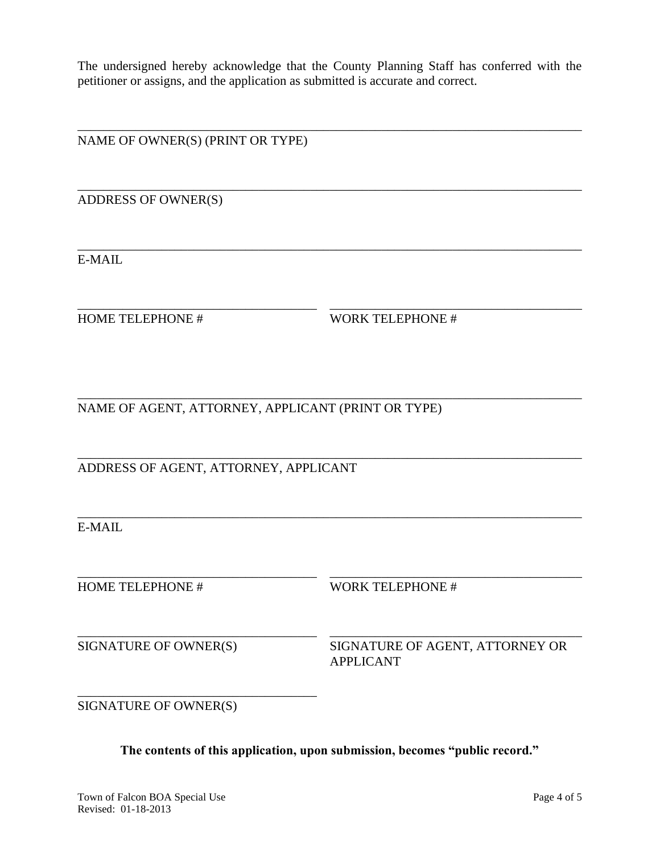The undersigned hereby acknowledge that the County Planning Staff has conferred with the petitioner or assigns, and the application as submitted is accurate and correct.

\_\_\_\_\_\_\_\_\_\_\_\_\_\_\_\_\_\_\_\_\_\_\_\_\_\_\_\_\_\_\_\_\_\_\_\_\_\_\_\_\_\_\_\_\_\_\_\_\_\_\_\_\_\_\_\_\_\_\_\_\_\_\_\_\_\_\_\_\_\_\_\_\_\_\_\_\_\_

\_\_\_\_\_\_\_\_\_\_\_\_\_\_\_\_\_\_\_\_\_\_\_\_\_\_\_\_\_\_\_\_\_\_\_\_\_\_\_\_\_\_\_\_\_\_\_\_\_\_\_\_\_\_\_\_\_\_\_\_\_\_\_\_\_\_\_\_\_\_\_\_\_\_\_\_\_\_

\_\_\_\_\_\_\_\_\_\_\_\_\_\_\_\_\_\_\_\_\_\_\_\_\_\_\_\_\_\_\_\_\_\_\_\_\_\_\_\_\_\_\_\_\_\_\_\_\_\_\_\_\_\_\_\_\_\_\_\_\_\_\_\_\_\_\_\_\_\_\_\_\_\_\_\_\_\_

\_\_\_\_\_\_\_\_\_\_\_\_\_\_\_\_\_\_\_\_\_\_\_\_\_\_\_\_\_\_\_\_\_\_\_\_\_ \_\_\_\_\_\_\_\_\_\_\_\_\_\_\_\_\_\_\_\_\_\_\_\_\_\_\_\_\_\_\_\_\_\_\_\_\_\_\_

\_\_\_\_\_\_\_\_\_\_\_\_\_\_\_\_\_\_\_\_\_\_\_\_\_\_\_\_\_\_\_\_\_\_\_\_\_\_\_\_\_\_\_\_\_\_\_\_\_\_\_\_\_\_\_\_\_\_\_\_\_\_\_\_\_\_\_\_\_\_\_\_\_\_\_\_\_\_

\_\_\_\_\_\_\_\_\_\_\_\_\_\_\_\_\_\_\_\_\_\_\_\_\_\_\_\_\_\_\_\_\_\_\_\_\_\_\_\_\_\_\_\_\_\_\_\_\_\_\_\_\_\_\_\_\_\_\_\_\_\_\_\_\_\_\_\_\_\_\_\_\_\_\_\_\_\_

\_\_\_\_\_\_\_\_\_\_\_\_\_\_\_\_\_\_\_\_\_\_\_\_\_\_\_\_\_\_\_\_\_\_\_\_\_\_\_\_\_\_\_\_\_\_\_\_\_\_\_\_\_\_\_\_\_\_\_\_\_\_\_\_\_\_\_\_\_\_\_\_\_\_\_\_\_\_

\_\_\_\_\_\_\_\_\_\_\_\_\_\_\_\_\_\_\_\_\_\_\_\_\_\_\_\_\_\_\_\_\_\_\_\_\_ \_\_\_\_\_\_\_\_\_\_\_\_\_\_\_\_\_\_\_\_\_\_\_\_\_\_\_\_\_\_\_\_\_\_\_\_\_\_\_

NAME OF OWNER(S) (PRINT OR TYPE)

ADDRESS OF OWNER(S)

E-MAIL

HOME TELEPHONE # WORK TELEPHONE #

NAME OF AGENT, ATTORNEY, APPLICANT (PRINT OR TYPE)

ADDRESS OF AGENT, ATTORNEY, APPLICANT

E-MAIL

HOME TELEPHONE # WORK TELEPHONE #

\_\_\_\_\_\_\_\_\_\_\_\_\_\_\_\_\_\_\_\_\_\_\_\_\_\_\_\_\_\_\_\_\_\_\_\_\_ \_\_\_\_\_\_\_\_\_\_\_\_\_\_\_\_\_\_\_\_\_\_\_\_\_\_\_\_\_\_\_\_\_\_\_\_\_\_\_

SIGNATURE OF OWNER(S) SIGNATURE OF AGENT, ATTORNEY OR APPLICANT

SIGNATURE OF OWNER(S)

\_\_\_\_\_\_\_\_\_\_\_\_\_\_\_\_\_\_\_\_\_\_\_\_\_\_\_\_\_\_\_\_\_\_\_\_\_

**The contents of this application, upon submission, becomes "public record."**